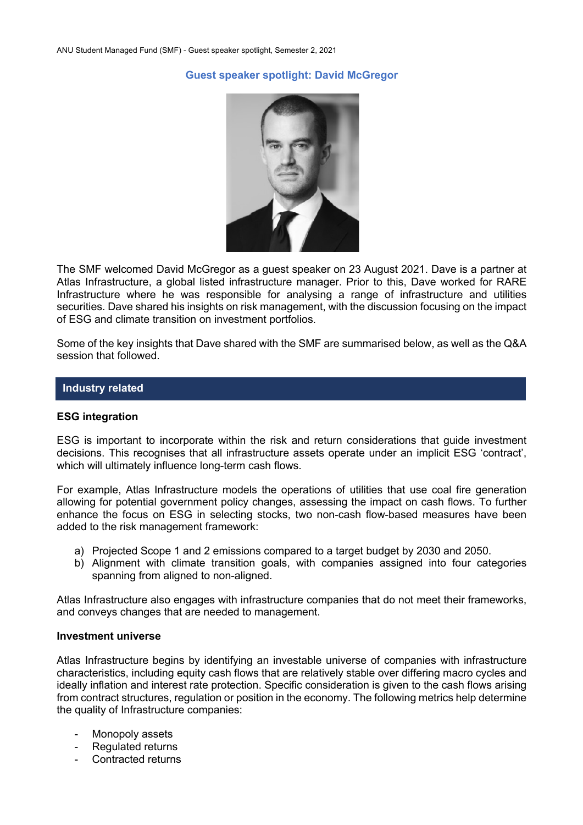## **Guest speaker spotlight: David McGregor**



The SMF welcomed David McGregor as a guest speaker on 23 August 2021. Dave is a partner at Atlas Infrastructure, a global listed infrastructure manager. Prior to this, Dave worked for RARE Infrastructure where he was responsible for analysing a range of infrastructure and utilities securities. Dave shared his insights on risk management, with the discussion focusing on the impact of ESG and climate transition on investment portfolios.

Some of the key insights that Dave shared with the SMF are summarised below, as well as the Q&A session that followed.

#### **Industry related**

#### **ESG integration**

ESG is important to incorporate within the risk and return considerations that guide investment decisions. This recognises that all infrastructure assets operate under an implicit ESG 'contract', which will ultimately influence long-term cash flows.

For example, Atlas Infrastructure models the operations of utilities that use coal fire generation allowing for potential government policy changes, assessing the impact on cash flows. To further enhance the focus on ESG in selecting stocks, two non-cash flow-based measures have been added to the risk management framework:

- a) Projected Scope 1 and 2 emissions compared to a target budget by 2030 and 2050.
- b) Alignment with climate transition goals, with companies assigned into four categories spanning from aligned to non-aligned.

Atlas Infrastructure also engages with infrastructure companies that do not meet their frameworks, and conveys changes that are needed to management.

#### **Investment universe**

Atlas Infrastructure begins by identifying an investable universe of companies with infrastructure characteristics, including equity cash flows that are relatively stable over differing macro cycles and ideally inflation and interest rate protection. Specific consideration is given to the cash flows arising from contract structures, regulation or position in the economy. The following metrics help determine the quality of Infrastructure companies:

- Monopoly assets
- Regulated returns
- Contracted returns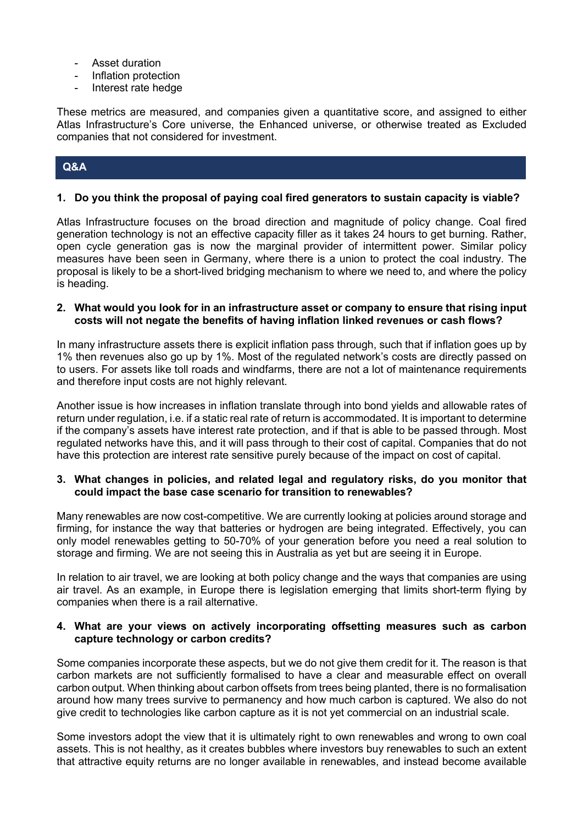- Asset duration
- Inflation protection
- Interest rate hedge

These metrics are measured, and companies given a quantitative score, and assigned to either Atlas Infrastructure's Core universe, the Enhanced universe, or otherwise treated as Excluded companies that not considered for investment.

# **Q&A**

## **1. Do you think the proposal of paying coal fired generators to sustain capacity is viable?**

Atlas Infrastructure focuses on the broad direction and magnitude of policy change. Coal fired generation technology is not an effective capacity filler as it takes 24 hours to get burning. Rather, open cycle generation gas is now the marginal provider of intermittent power. Similar policy measures have been seen in Germany, where there is a union to protect the coal industry. The proposal is likely to be a short-lived bridging mechanism to where we need to, and where the policy is heading.

## **2. What would you look for in an infrastructure asset or company to ensure that rising input costs will not negate the benefits of having inflation linked revenues or cash flows?**

In many infrastructure assets there is explicit inflation pass through, such that if inflation goes up by 1% then revenues also go up by 1%. Most of the regulated network's costs are directly passed on to users. For assets like toll roads and windfarms, there are not a lot of maintenance requirements and therefore input costs are not highly relevant.

Another issue is how increases in inflation translate through into bond yields and allowable rates of return under regulation, i.e. if a static real rate of return is accommodated. It is important to determine if the company's assets have interest rate protection, and if that is able to be passed through. Most regulated networks have this, and it will pass through to their cost of capital. Companies that do not have this protection are interest rate sensitive purely because of the impact on cost of capital.

## **3. What changes in policies, and related legal and regulatory risks, do you monitor that could impact the base case scenario for transition to renewables?**

Many renewables are now cost-competitive. We are currently looking at policies around storage and firming, for instance the way that batteries or hydrogen are being integrated. Effectively, you can only model renewables getting to 50-70% of your generation before you need a real solution to storage and firming. We are not seeing this in Australia as yet but are seeing it in Europe.

In relation to air travel, we are looking at both policy change and the ways that companies are using air travel. As an example, in Europe there is legislation emerging that limits short-term flying by companies when there is a rail alternative.

## **4. What are your views on actively incorporating offsetting measures such as carbon capture technology or carbon credits?**

Some companies incorporate these aspects, but we do not give them credit for it. The reason is that carbon markets are not sufficiently formalised to have a clear and measurable effect on overall carbon output. When thinking about carbon offsets from trees being planted, there is no formalisation around how many trees survive to permanency and how much carbon is captured. We also do not give credit to technologies like carbon capture as it is not yet commercial on an industrial scale.

Some investors adopt the view that it is ultimately right to own renewables and wrong to own coal assets. This is not healthy, as it creates bubbles where investors buy renewables to such an extent that attractive equity returns are no longer available in renewables, and instead become available